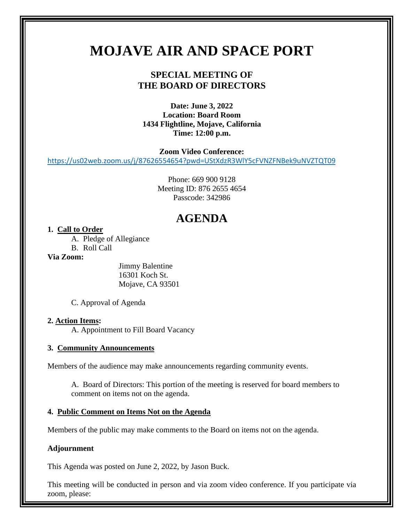# **MOJAVE AIR AND SPACE PORT**

### **SPECIAL MEETING OF THE BOARD OF DIRECTORS**

**Date: June 3, 2022 Location: Board Room 1434 Flightline, Mojave, California Time: 12:00 p.m.** 

**Zoom Video Conference:**

<https://us02web.zoom.us/j/87626554654?pwd=UStXdzR3WlY5cFVNZFNBek9uNVZTQT09>

Phone: 669 900 9128 Meeting ID: 876 2655 4654 Passcode: 342986

## **AGENDA**

#### **1. Call to Order**

A. Pledge of Allegiance

B. Roll Call

#### **Via Zoom:**

Jimmy Balentine 16301 Koch St. Mojave, CA 93501

C. Approval of Agenda

#### **2. Action Items:**

A. Appointment to Fill Board Vacancy

#### **3. Community Announcements**

Members of the audience may make announcements regarding community events.

A. Board of Directors: This portion of the meeting is reserved for board members to comment on items not on the agenda.

#### **4. Public Comment on Items Not on the Agenda**

Members of the public may make comments to the Board on items not on the agenda.

#### **Adjournment**

This Agenda was posted on June 2, 2022, by Jason Buck.

This meeting will be conducted in person and via zoom video conference. If you participate via zoom, please: